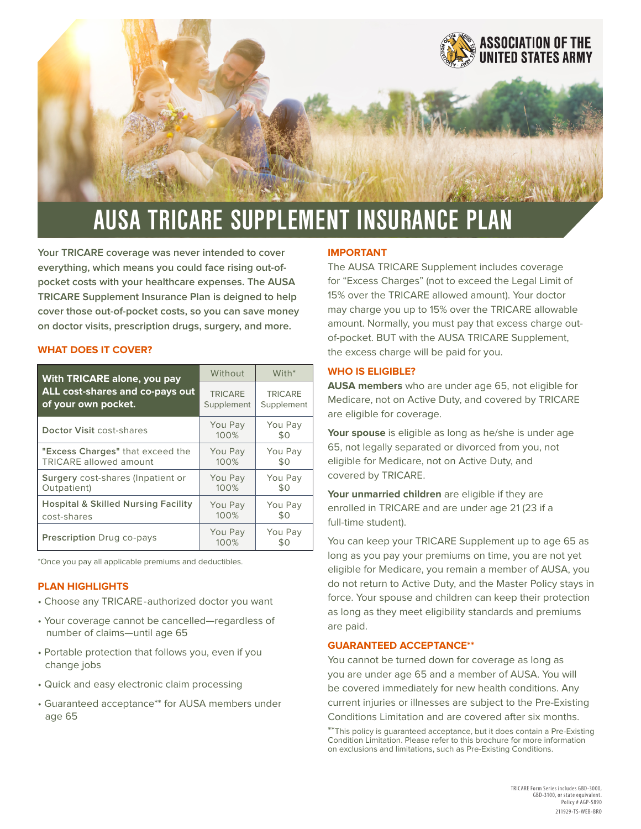

## **Your TRICARE coverage was never intended to cover everything, which means you could face rising out-ofpocket costs with your healthcare expenses. The AUSA IMPORTANT**

**TRICARE Supplement Insurance Plan is deigned to help cover those out-of-pocket costs, so you can save money on doctor visits, prescription drugs, surgery, and more.**

### **WHAT DOES IT COVER?**

| With TRICARE alone, you pay                    | Without         | With*          |
|------------------------------------------------|-----------------|----------------|
| ALL cost-shares and co-pays out                | <b>TRICARE</b>  | <b>TRICARE</b> |
| of your own pocket.                            | Supplement      | Supplement     |
| <b>Doctor Visit cost-shares</b>                | You Pay<br>100% | You Pay<br>\$0 |
| "Excess Charges" that exceed the               | You Pay         | You Pay        |
| <b>TRICARE allowed amount</b>                  | 100%            | \$0            |
| <b>Surgery cost-shares (Inpatient or</b>       | You Pay         | You Pay        |
| Outpatient)                                    | 100%            | \$0            |
| <b>Hospital &amp; Skilled Nursing Facility</b> | You Pay         | You Pay        |
| cost-shares                                    | 100%            | \$0            |
| <b>Prescription Drug co-pays</b>               | You Pay<br>100% | You Pay        |

\*Once you pay all applicable premiums and deductibles.

### **PLAN HIGHLIGHTS**

- Choose any TRICARE-authorized doctor you want
- Your coverage cannot be cancelled—regardless of number of claims—until age 65
- Portable protection that follows you, even if you change jobs
- Quick and easy electronic claim processing
- Guaranteed acceptance\*\* for AUSA members under age 65

The AUSA TRICARE Supplement includes coverage for "Excess Charges" (not to exceed the Legal Limit of 15% over the TRICARE allowed amount). Your doctor may charge you up to 15% over the TRICARE allowable amount. Normally, you must pay that excess charge outof-pocket. BUT with the AUSA TRICARE Supplement, the excess charge will be paid for you.

#### **WHO IS ELIGIBLE?**

**AUSA members** who are under age 65, not eligible for Medicare, not on Active Duty, and covered by TRICARE are eligible for coverage.

Your spouse is eligible as long as he/she is under age 65, not legally separated or divorced from you, not eligible for Medicare, not on Active Duty, and covered by TRICARE.

**Your unmarried children** are eligible if they are enrolled in TRICARE and are under age 21 (23 if a full-time student).

You can keep your TRICARE Supplement up to age 65 as long as you pay your premiums on time, you are not yet eligible for Medicare, you remain a member of AUSA, you do not return to Active Duty, and the Master Policy stays in force. Your spouse and children can keep their protection as long as they meet eligibility standards and premiums are paid.

## **GUARANTEED ACCEPTANCE\*\***

You cannot be turned down for coverage as long as you are under age 65 and a member of AUSA. You will be covered immediately for new health conditions. Any current injuries or illnesses are subject to the Pre-Existing Conditions Limitation and are covered after six months.

<sup>\*\*</sup>This policy is guaranteed acceptance, but it does contain a Pre-Existing Condition Limitation. Please refer to this brochure for more information on exclusions and limitations, such as Pre-Existing Conditions.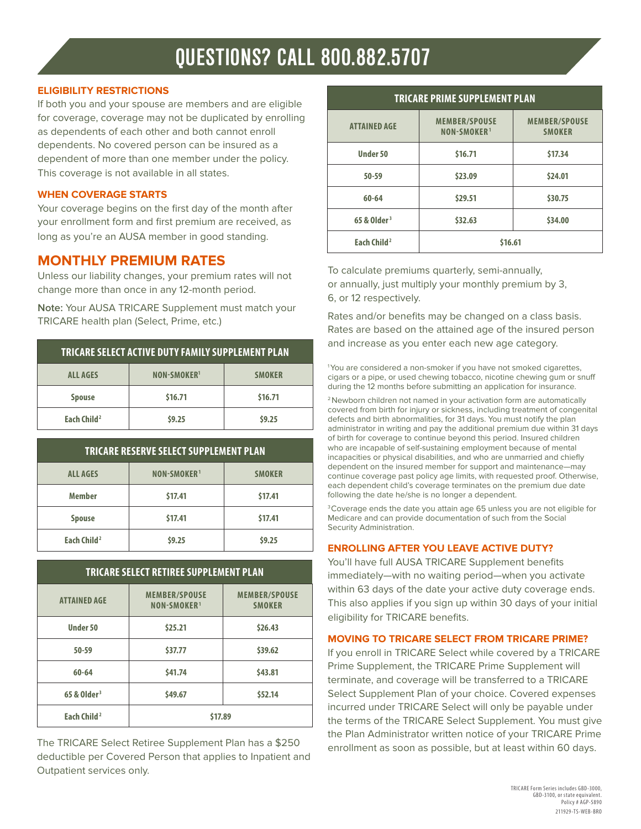# **QUESTIONS? CALL 800.882.5707**

## **ELIGIBILITY RESTRICTIONS**

If both you and your spouse are members and are eligible for coverage, coverage may not be duplicated by enrolling as dependents of each other and both cannot enroll dependents. No covered person can be insured as a dependent of more than one member under the policy. This coverage is not available in all states.

## **WHEN COVERAGE STARTS**

Your coverage begins on the first day of the month after your enrollment form and first premium are received, as long as you're an AUSA member in good standing.

## **MONTHLY PREMIUM RATES**

Unless our liability changes, your premium rates will not change more than once in any 12-month period.

**Note:** Your AUSA TRICARE Supplement must match your TRICARE health plan (Select, Prime, etc.)

| <b>TRICARE SELECT ACTIVE DUTY FAMILY SUPPLEMENT PLAN</b> |             |               |  |
|----------------------------------------------------------|-------------|---------------|--|
| <b>ALL AGES</b>                                          | NON-SMOKER1 | <b>SMOKER</b> |  |
| <b>Spouse</b>                                            | \$16.71     | \$16.71       |  |
| Each Child <sup>2</sup>                                  | \$9.25      | \$9.25        |  |

| <b>TRICARE RESERVE SELECT SUPPLEMENT PLAN</b> |             |               |  |
|-----------------------------------------------|-------------|---------------|--|
| <b>ALL AGES</b>                               | NON-SMOKER1 | <b>SMOKER</b> |  |
| <b>Member</b>                                 | \$17.41     | \$17.41       |  |
| <b>Spouse</b>                                 | \$17.41     | \$17.41       |  |
| Each Child <sup>2</sup>                       | \$9.25      | \$9.25        |  |

| <b>TRICARE SELECT RETIREE SUPPLEMENT PLAN</b> |                                     |                                       |  |
|-----------------------------------------------|-------------------------------------|---------------------------------------|--|
| <b>ATTAINED AGE</b>                           | <b>MEMBER/SPOUSE</b><br>NON-SMOKER1 | <b>MEMBER/SPOUSE</b><br><b>SMOKER</b> |  |
| <b>Under 50</b>                               | \$25.21                             | \$26.43                               |  |
| 50-59                                         | \$37.77                             | \$39.62                               |  |
| $60 - 64$                                     | \$41.74                             | \$43.81                               |  |
| 65 & Older <sup>3</sup>                       | \$49.67                             | \$52.14                               |  |
| Each Child <sup>2</sup>                       | \$17.89                             |                                       |  |

The TRICARE Select Retiree Supplement Plan has a \$250 deductible per Covered Person that applies to Inpatient and Outpatient services only.

## **TRICARE PRIME SUPPLEMENT PLAN**

| <b>ATTAINED AGE</b>     | <b>MEMBER/SPOUSE</b><br>NON-SMOKER <sup>1</sup> | <b>MEMBER/SPOUSE</b><br><b>SMOKER</b> |
|-------------------------|-------------------------------------------------|---------------------------------------|
| <b>Under 50</b>         | \$16.71                                         | \$17.34                               |
| 50-59                   | \$23.09                                         | \$24.01                               |
| $60 - 64$               | \$29.51                                         | \$30.75                               |
| 65 & Older <sup>3</sup> | \$32.63                                         | \$34.00                               |
| Each Child <sup>2</sup> | \$16.61                                         |                                       |

To calculate premiums quarterly, semi-annually, or annually, just multiply your monthly premium by 3, 6, or 12 respectively.

Rates and/or benefits may be changed on a class basis. Rates are based on the attained age of the insured person and increase as you enter each new age category.

1 You are considered a non-smoker if you have not smoked cigarettes, cigars or a pipe, or used chewing tobacco, nicotine chewing gum or snuff during the 12 months before submitting an application for insurance.

<sup>2</sup> Newborn children not named in your activation form are automatically covered from birth for injury or sickness, including treatment of congenital defects and birth abnormalities, for 31 days. You must notify the plan administrator in writing and pay the additional premium due within 31 days of birth for coverage to continue beyond this period. Insured children who are incapable of self-sustaining employment because of mental incapacities or physical disabilities, and who are unmarried and chiefly dependent on the insured member for support and maintenance—may continue coverage past policy age limits, with requested proof. Otherwise, each dependent child's coverage terminates on the premium due date following the date he/she is no longer a dependent.

<sup>3</sup>Coverage ends the date you attain age 65 unless you are not eligible for Medicare and can provide documentation of such from the Social Security Administration.

## **ENROLLING AFTER YOU LEAVE ACTIVE DUTY?**

You'll have full AUSA TRICARE Supplement benefits immediately—with no waiting period—when you activate within 63 days of the date your active duty coverage ends. This also applies if you sign up within 30 days of your initial eligibility for TRICARE benefits.

### **MOVING TO TRICARE SELECT FROM TRICARE PRIME?**

If you enroll in TRICARE Select while covered by a TRICARE Prime Supplement, the TRICARE Prime Supplement will terminate, and coverage will be transferred to a TRICARE Select Supplement Plan of your choice. Covered expenses incurred under TRICARE Select will only be payable under the terms of the TRICARE Select Supplement. You must give the Plan Administrator written notice of your TRICARE Prime enrollment as soon as possible, but at least within 60 days.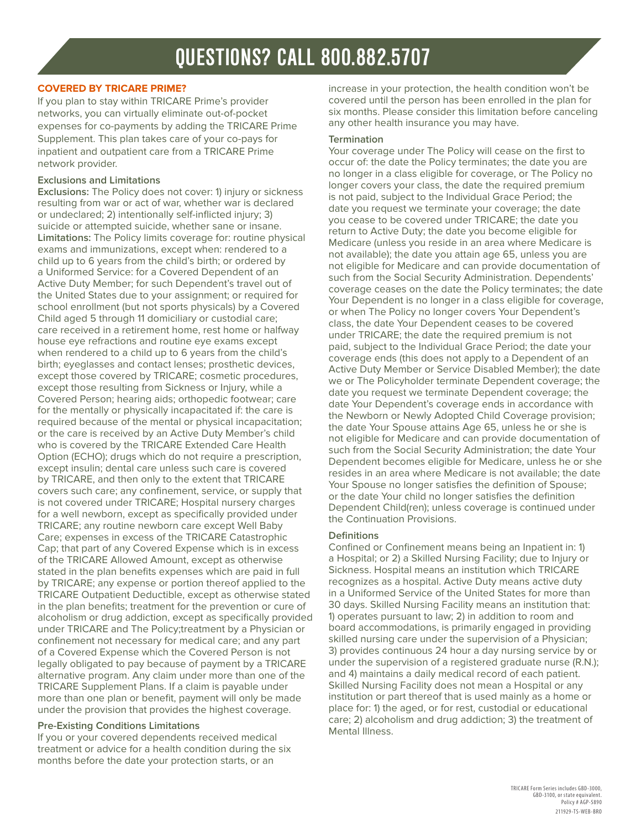## **COVERED BY TRICARE PRIME?**

If you plan to stay within TRICARE Prime's provider networks, you can virtually eliminate out-of-pocket expenses for co-payments by adding the TRICARE Prime Supplement. This plan takes care of your co-pays for inpatient and outpatient care from a TRICARE Prime network provider.

## **Exclusions and Limitations**

**Exclusions:** The Policy does not cover: 1) injury or sickness resulting from war or act of war, whether war is declared or undeclared; 2) intentionally self-inflicted injury; 3) suicide or attempted suicide, whether sane or insane. **Limitations:** The Policy limits coverage for: routine physical exams and immunizations, except when: rendered to a child up to 6 years from the child's birth; or ordered by a Uniformed Service: for a Covered Dependent of an Active Duty Member; for such Dependent's travel out of the United States due to your assignment; or required for school enrollment (but not sports physicals) by a Covered Child aged 5 through 11 domiciliary or custodial care; care received in a retirement home, rest home or halfway house eye refractions and routine eye exams except when rendered to a child up to 6 years from the child's birth; eyeglasses and contact lenses; prosthetic devices, except those covered by TRICARE; cosmetic procedures, except those resulting from Sickness or Injury, while a Covered Person; hearing aids; orthopedic footwear; care for the mentally or physically incapacitated if: the care is required because of the mental or physical incapacitation; or the care is received by an Active Duty Member's child who is covered by the TRICARE Extended Care Health Option (ECHO); drugs which do not require a prescription, except insulin; dental care unless such care is covered by TRICARE, and then only to the extent that TRICARE covers such care; any confinement, service, or supply that is not covered under TRICARE; Hospital nursery charges for a well newborn, except as specifically provided under TRICARE; any routine newborn care except Well Baby Care; expenses in excess of the TRICARE Catastrophic Cap; that part of any Covered Expense which is in excess of the TRICARE Allowed Amount, except as otherwise stated in the plan benefits expenses which are paid in full by TRICARE; any expense or portion thereof applied to the TRICARE Outpatient Deductible, except as otherwise stated in the plan benefits; treatment for the prevention or cure of alcoholism or drug addiction, except as specifically provided under TRICARE and The Policy;treatment by a Physician or confinement not necessary for medical care; and any part of a Covered Expense which the Covered Person is not legally obligated to pay because of payment by a TRICARE alternative program. Any claim under more than one of the TRICARE Supplement Plans. If a claim is payable under more than one plan or benefit, payment will only be made under the provision that provides the highest coverage.

### **Pre-Existing Conditions Limitations**

If you or your covered dependents received medical treatment or advice for a health condition during the six months before the date your protection starts, or an

increase in your protection, the health condition won't be covered until the person has been enrolled in the plan for six months. Please consider this limitation before canceling any other health insurance you may have.

## **Termination**

Your coverage under The Policy will cease on the first to occur of: the date the Policy terminates; the date you are no longer in a class eligible for coverage, or The Policy no longer covers your class, the date the required premium is not paid, subject to the Individual Grace Period; the date you request we terminate your coverage; the date you cease to be covered under TRICARE; the date you return to Active Duty; the date you become eligible for Medicare (unless you reside in an area where Medicare is not available); the date you attain age 65, unless you are not eligible for Medicare and can provide documentation of such from the Social Security Administration. Dependents' coverage ceases on the date the Policy terminates; the date Your Dependent is no longer in a class eligible for coverage, or when The Policy no longer covers Your Dependent's class, the date Your Dependent ceases to be covered under TRICARE; the date the required premium is not paid, subject to the Individual Grace Period; the date your coverage ends (this does not apply to a Dependent of an Active Duty Member or Service Disabled Member); the date we or The Policyholder terminate Dependent coverage; the date you request we terminate Dependent coverage; the date Your Dependent's coverage ends in accordance with the Newborn or Newly Adopted Child Coverage provision; the date Your Spouse attains Age 65, unless he or she is not eligible for Medicare and can provide documentation of such from the Social Security Administration; the date Your Dependent becomes eligible for Medicare, unless he or she resides in an area where Medicare is not available; the date Your Spouse no longer satisfies the definition of Spouse; or the date Your child no longer satisfies the definition Dependent Child(ren); unless coverage is continued under the Continuation Provisions.

## **Definitions**

Confined or Confinement means being an Inpatient in: 1) a Hospital; or 2) a Skilled Nursing Facility; due to Injury or Sickness. Hospital means an institution which TRICARE recognizes as a hospital. Active Duty means active duty in a Uniformed Service of the United States for more than 30 days. Skilled Nursing Facility means an institution that: 1) operates pursuant to law; 2) in addition to room and board accommodations, is primarily engaged in providing skilled nursing care under the supervision of a Physician; 3) provides continuous 24 hour a day nursing service by or under the supervision of a registered graduate nurse (R.N.); and 4) maintains a daily medical record of each patient. Skilled Nursing Facility does not mean a Hospital or any institution or part thereof that is used mainly as a home or place for: 1) the aged, or for rest, custodial or educational care; 2) alcoholism and drug addiction; 3) the treatment of Mental Illness.